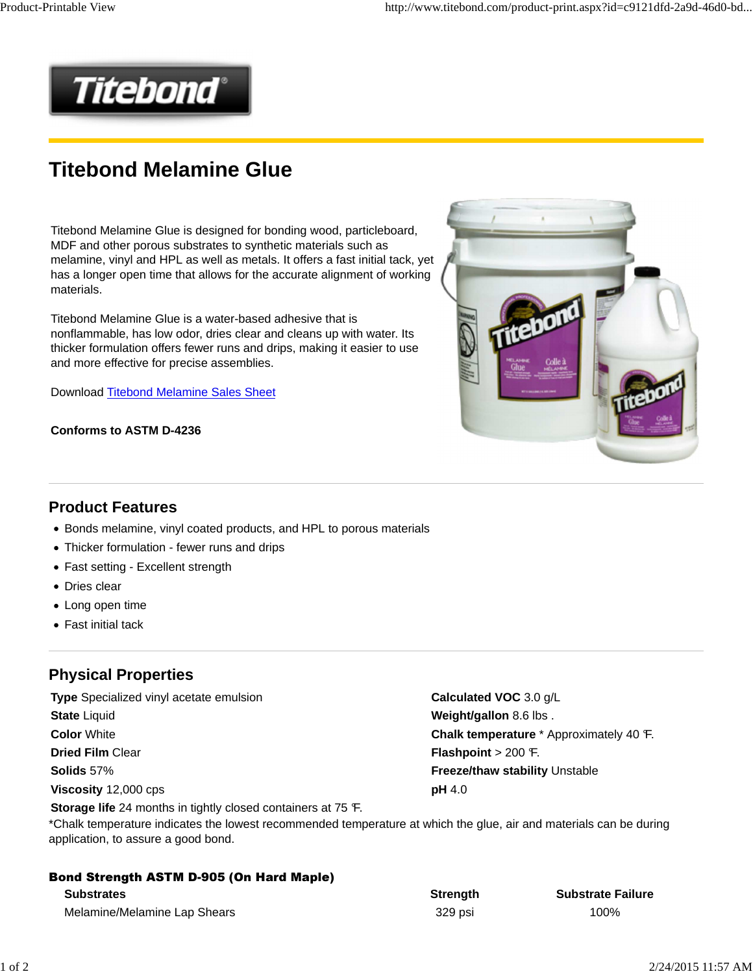

# **Titebond Melamine Glue**

Titebond Melamine Glue is designed for bonding wood, particleboard, MDF and other porous substrates to synthetic materials such as melamine, vinyl and HPL as well as metals. It offers a fast initial tack, yet has a longer open time that allows for the accurate alignment of working materials.

Titebond Melamine Glue is a water-based adhesive that is nonflammable, has low odor, dries clear and cleans up with water. Its thicker formulation offers fewer runs and drips, making it easier to use and more effective for precise assemblies.

Download Titebond Melamine Sales Sheet

#### **Conforms to ASTM D-4236**



#### **Product Features**

- Bonds melamine, vinyl coated products, and HPL to porous materials
- Thicker formulation fewer runs and drips
- Fast setting Excellent strength
- Dries clear
- Long open time
- Fast initial tack

# **Physical Properties**

**Type** Specialized vinyl acetate emulsion **Calculated VOC** 3.0 g/L **State** Liquid **Weight/gallon** 8.6 lbs . **Dried Film Clear <b>Flashpoint** > 200 °F. **Solids 57% Freeze/thaw stability** Unstable **Viscosity** 12,000 cps **pH** 4.0

**Storage life** 24 months in tightly closed containers at 75 °F.

**Color** White **Color** *Chalk temperature* \* Approximately 40 °F.

\*Chalk temperature indicates the lowest recommended temperature at which the glue, air and materials can be during application, to assure a good bond.

| <b>Bond Strength ASTM D-905 (On Hard Maple)</b> |                 |                          |  |  |  |
|-------------------------------------------------|-----------------|--------------------------|--|--|--|
| <b>Substrates</b>                               | <b>Strength</b> | <b>Substrate Failure</b> |  |  |  |
| Melamine/Melamine Lap Shears                    | 329 psi         | 100%                     |  |  |  |